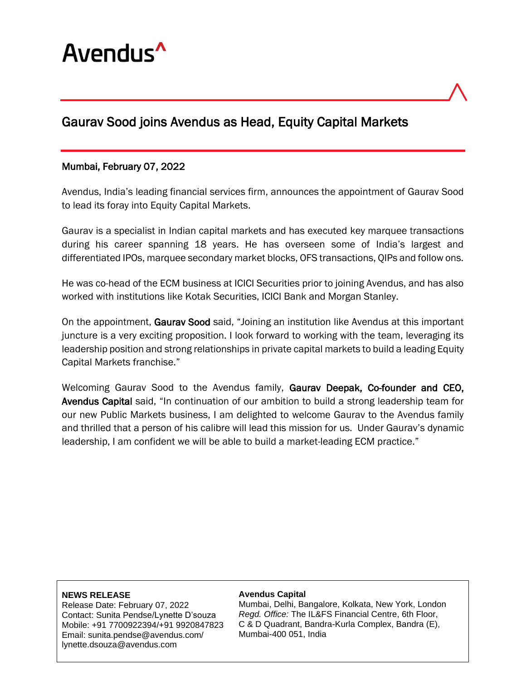

# Gaurav Sood joins Avendus as Head, Equity Capital Markets

### Mumbai, February 07, 2022

Avendus, India's leading financial services firm, announces the appointment of Gaurav Sood to lead its foray into Equity Capital Markets.

Gaurav is a specialist in Indian capital markets and has executed key marquee transactions during his career spanning 18 years. He has overseen some of India's largest and differentiated IPOs, marquee secondary market blocks, OFS transactions, QIPs and follow ons.

He was co-head of the ECM business at ICICI Securities prior to joining Avendus, and has also worked with institutions like Kotak Securities, ICICI Bank and Morgan Stanley.

On the appointment, Gaurav Sood said, "Joining an institution like Avendus at this important juncture is a very exciting proposition. I look forward to working with the team, leveraging its leadership position and strong relationships in private capital markets to build a leading Equity Capital Markets franchise."

Welcoming Gaurav Sood to the Avendus family, Gaurav Deepak, Co-founder and CEO, Avendus Capital said, "In continuation of our ambition to build a strong leadership team for our new Public Markets business, I am delighted to welcome Gaurav to the Avendus family and thrilled that a person of his calibre will lead this mission for us. Under Gaurav's dynamic leadership, I am confident we will be able to build a market-leading ECM practice."

#### **NEWS RELEASE**

Release Date: February 07, 2022 Contact: Sunita Pendse/Lynette D'souza Mobile: +91 7700922394/+91 9920847823 Email: sunita.pendse@avendus.com/ lynette.dsouza@avendus.com

#### **Avendus Capital**

Mumbai, Delhi, Bangalore, Kolkata, New York, London *Regd. Office:* The IL&FS Financial Centre, 6th Floor, C & D Quadrant, Bandra-Kurla Complex, Bandra (E), Mumbai-400 051, India